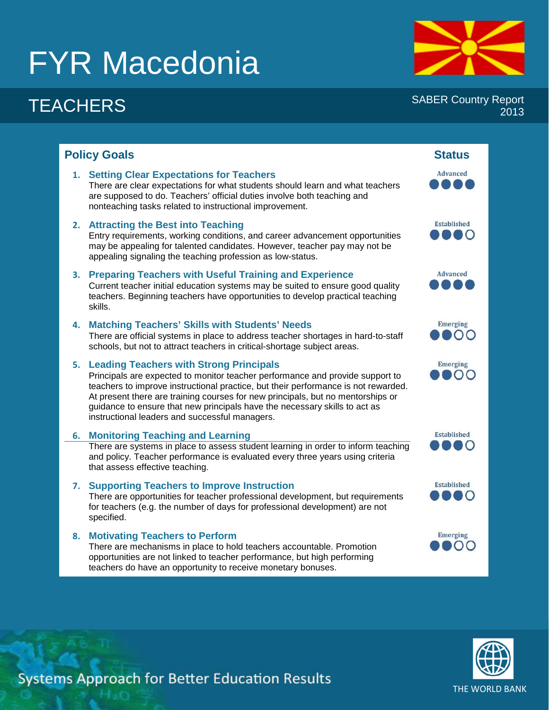## **Systems Approach for Better Education Results**

# FYR Macedonia

**1. Setting Clear Expectations for Teachers**

#### **Policy Goals Status Policy Goals**

There are clear expectations for what students should learn and what teachers are supposed to do. Teachers' official duties involve both teaching and nonteaching tasks related to instructional improvement. **Established 2. Attracting the Best into Teaching** 1000 Entry requirements, working conditions, and career advancement opportunities may be appealing for talented candidates. However, teacher pay may not be appealing signaling the teaching profession as low-status. Advanced **3. Preparing Teachers with Useful Training and Experience** Current teacher initial education systems may be suited to ensure good quality teachers. Beginning teachers have opportunities to develop practical teaching skills. **4. Matching Teachers' Skills with Students' Needs Emerging** There are official systems in place to address teacher shortages in hard-to-staff DOO schools, but not to attract teachers in critical-shortage subject areas. **Emerging 5. Leading Teachers with Strong Principals** DOOD Principals are expected to monitor teacher performance and provide support to teachers to improve instructional practice, but their performance is not rewarded. At present there are training courses for new principals, but no mentorships or guidance to ensure that new principals have the necessary skills to act as instructional leaders and successful managers. **Established 6. Monitoring Teaching and Learning** There are systems in place to assess student learning in order to inform teaching DOO and policy. Teacher performance is evaluated every three years using criteria that assess effective teaching. **Established 7. Supporting Teachers to Improve Instruction** CO

There are opportunities for teacher professional development, but requirements for teachers (e.g. the number of days for professional development) are not specified.

#### **8. Motivating Teachers to Perform**

There are mechanisms in place to hold teachers accountable. Promotion opportunities are not linked to teacher performance, but high performing teachers do have an opportunity to receive monetary bonuses.

TEACHERS SABER Country Report 2013

**Advanced** 





**Emerging** 1000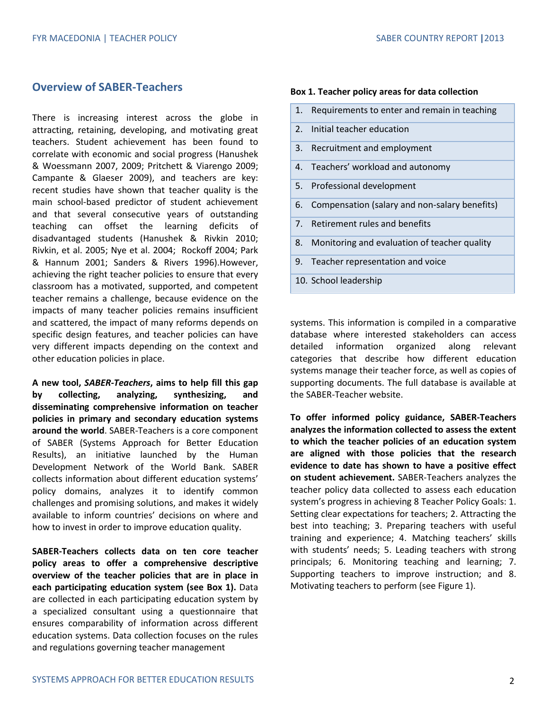#### **Overview of SABER-Teachers**

There is increasing interest across the globe in attracting, retaining, developing, and motivating great teachers. Student achievement has been found to correlate with economic and social progress (Hanushek & Woessmann 2007, 2009; Pritchett & Viarengo 2009; Campante & Glaeser 2009), and teachers are key: recent studies have shown that teacher quality is the main school-based predictor of student achievement and that several consecutive years of outstanding teaching can offset the learning deficits of disadvantaged students (Hanushek & Rivkin 2010; Rivkin, et al. 2005; Nye et al. 2004; Rockoff 2004; Park & Hannum 2001; Sanders & Rivers 1996).However, achieving the right teacher policies to ensure that every classroom has a motivated, supported, and competent teacher remains a challenge, because evidence on the impacts of many teacher policies remains insufficient and scattered, the impact of many reforms depends on specific design features, and teacher policies can have very different impacts depending on the context and other education policies in place.

**A new tool,** *SABER-Teachers***, aims to help fill this gap by collecting, analyzing, synthesizing, and disseminating comprehensive information on teacher policies in primary and secondary education systems around the world**. SABER-Teachers is a core component of SABER (Systems Approach for Better Education Results), an initiative launched by the Human Development Network of the World Bank. SABER collects information about different education systems' policy domains, analyzes it to identify common challenges and promising solutions, and makes it widely available to inform countries' decisions on where and how to invest in order to improve education quality.

**SABER-Teachers collects data on ten core teacher policy areas to offer a comprehensive descriptive overview of the teacher policies that are in place in each participating education system (see Box 1).** Data are collected in each participating education system by a specialized consultant using a questionnaire that ensures comparability of information across different education systems. Data collection focuses on the rules and regulations governing teacher management

#### **Box 1. Teacher policy areas for data collection**

- 1. Requirements to enter and remain in teaching
- 2. Initial teacher education
- 3. Recruitment and employment
- 4. Teachers' workload and autonomy
- 5. Professional development
- 6. Compensation (salary and non-salary benefits)
- 7. Retirement rules and benefits
- 8. Monitoring and evaluation of teacher quality
- 9. Teacher representation and voice
- 10. School leadership

systems. This information is compiled in a comparative database where interested stakeholders can access detailed information organized along relevant categories that describe how different education systems manage their teacher force, as well as copies of supporting documents. The full database is available at the SABER-Teacher website.

**To offer informed policy guidance, SABER-Teachers analyzes the information collected to assess the extent to which the teacher policies of an education system are aligned with those policies that the research evidence to date has shown to have a positive effect on student achievement.** SABER-Teachers analyzes the teacher policy data collected to assess each education system's progress in achieving 8 Teacher Policy Goals: 1. Setting clear expectations for teachers; 2. Attracting the best into teaching; 3. Preparing teachers with useful training and experience; 4. Matching teachers' skills with students' needs; 5. Leading teachers with strong principals; 6. Monitoring teaching and learning; 7. Supporting teachers to improve instruction; and 8. Motivating teachers to perform (see Figure 1).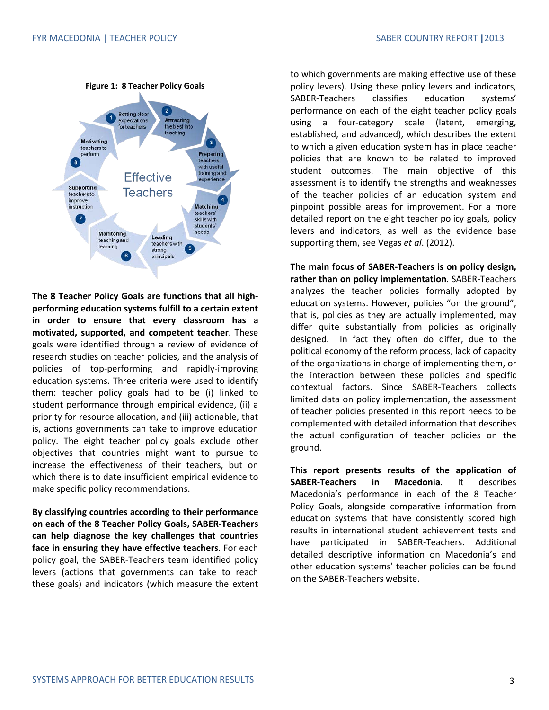

**The 8 Teacher Policy Goals are functions that all highperforming education systems fulfill to a certain extent in order to ensure that every classroom has a motivated, supported, and competent teacher**. These goals were identified through a review of evidence of research studies on teacher policies, and the analysis of policies of top-performing and rapidly-improving education systems. Three criteria were used to identify them: teacher policy goals had to be (i) linked to student performance through empirical evidence, (ii) a priority for resource allocation, and (iii) actionable, that is, actions governments can take to improve education policy. The eight teacher policy goals exclude other objectives that countries might want to pursue to increase the effectiveness of their teachers, but on which there is to date insufficient empirical evidence to make specific policy recommendations.

**By classifying countries according to their performance on each of the 8 Teacher Policy Goals, SABER-Teachers can help diagnose the key challenges that countries face in ensuring they have effective teachers**. For each policy goal, the SABER-Teachers team identified policy levers (actions that governments can take to reach these goals) and indicators (which measure the extent

to which governments are making effective use of these policy levers). Using these policy levers and indicators, SABER-Teachers classifies education systems' performance on each of the eight teacher policy goals using a four-category scale (latent, emerging, established, and advanced), which describes the extent to which a given education system has in place teacher policies that are known to be related to improved student outcomes. The main objective of this assessment is to identify the strengths and weaknesses of the teacher policies of an education system and pinpoint possible areas for improvement. For a more detailed report on the eight teacher policy goals, policy levers and indicators, as well as the evidence base supporting them, see Vegas *et al*. (2012).

**The main focus of SABER-Teachers is on policy design, rather than on policy implementation**. SABER-Teachers analyzes the teacher policies formally adopted by education systems. However, policies "on the ground", that is, policies as they are actually implemented, may differ quite substantially from policies as originally designed. In fact they often do differ, due to the political economy of the reform process, lack of capacity of the organizations in charge of implementing them, or the interaction between these policies and specific contextual factors. Since SABER-Teachers collects limited data on policy implementation, the assessment of teacher policies presented in this report needs to be complemented with detailed information that describes the actual configuration of teacher policies on the ground.

**This report presents results of the application of SABER-Teachers in Macedonia**. It describes Macedonia's performance in each of the 8 Teacher Policy Goals, alongside comparative information from education systems that have consistently scored high results in international student achievement tests and have participated in SABER-Teachers. Additional detailed descriptive information on Macedonia's and other education systems' teacher policies can be found on the SABER-Teachers website.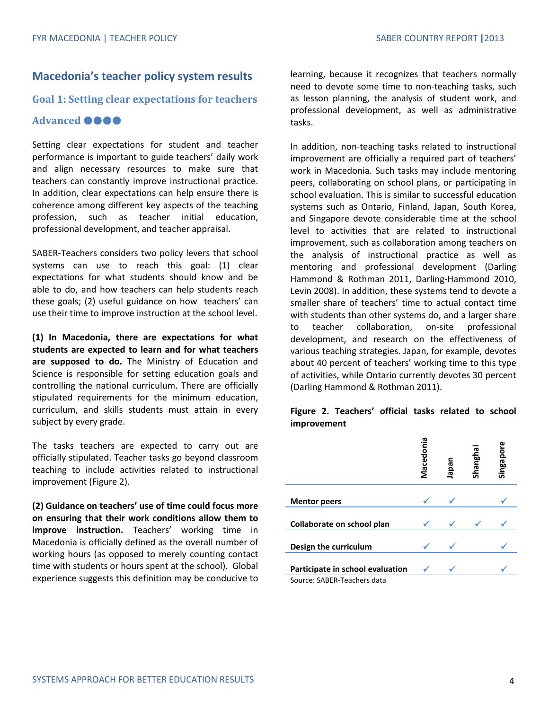#### **Macedonia's teacher policy system results**

#### **Goal 1: Setting clear expectations for teachers**

#### Advanced **@@@@**

Setting clear expectations for student and teacher performance is important to guide teachers' daily work and align necessary resources to make sure that teachers can constantly improve instructional practice. In addition, clear expectations can help ensure there is coherence among different key aspects of the teaching profession, such as teacher initial education, professional development, and teacher appraisal.

SABER-Teachers considers two policy levers that school systems can use to reach this goal: (1) clear expectations for what students should know and be able to do, and how teachers can help students reach these goals; (2) useful guidance on how teachers' can use their time to improve instruction at the school level.

**(1) In Macedonia, there are expectations for what students are expected to learn and for what teachers are supposed to do.** The Ministry of Education and Science is responsible for setting education goals and controlling the national curriculum. There are officially stipulated requirements for the minimum education, curriculum, and skills students must attain in every subject by every grade.

The tasks teachers are expected to carry out are officially stipulated. Teacher tasks go beyond classroom teaching to include activities related to instructional improvement (Figure 2).

**(2) Guidance on teachers' use of time could focus more on ensuring that their work conditions allow them to improve instruction.** Teachers' working time in Macedonia is officially defined as the overall number of working hours (as opposed to merely counting contact time with students or hours spent at the school). Global experience suggests this definition may be conducive to

learning, because it recognizes that teachers normally need to devote some time to non-teaching tasks, such as lesson planning, the analysis of student work, and professional development, as well as administrative tasks.

In addition, non-teaching tasks related to instructional improvement are officially a required part of teachers' work in Macedonia. Such tasks may include mentoring peers, collaborating on school plans, or participating in school evaluation. This is similar to successful education systems such as Ontario, Finland, Japan, South Korea, and Singapore devote considerable time at the school level to activities that are related to instructional improvement, such as collaboration among teachers on the analysis of instructional practice as well as mentoring and professional development (Darling Hammond & Rothman 2011, Darling-Hammond 2010, Levin 2008). In addition, these systems tend to devote a smaller share of teachers' time to actual contact time with students than other systems do, and a larger share to teacher collaboration, on-site professional development, and research on the effectiveness of various teaching strategies. Japan, for example, devotes about 40 percent of teachers' working time to this type of activities, while Ontario currently devotes 30 percent (Darling Hammond & Rothman 2011).

#### **Figure 2. Teachers' official tasks related to school improvement**

|                                  | Macedonia | iede | ᡴᠣ<br>Shangr | ω<br>Singapor |
|----------------------------------|-----------|------|--------------|---------------|
| <b>Mentor peers</b>              |           |      |              |               |
| Collaborate on school plan       |           |      |              |               |
| Design the curriculum            |           |      |              |               |
| Participate in school evaluation |           |      |              |               |
| Source: SABER-Teachers data      |           |      |              |               |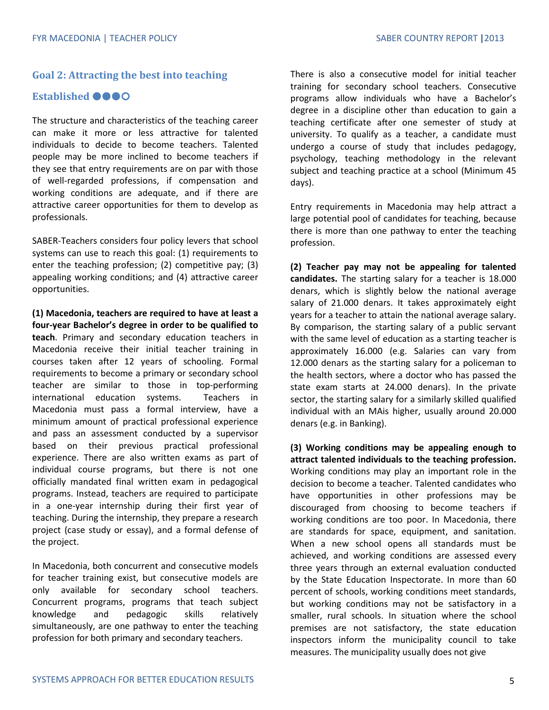#### **Goal 2: Attracting the best into teaching**

#### **Established**

The structure and characteristics of the teaching career can make it more or less attractive for talented individuals to decide to become teachers. Talented people may be more inclined to become teachers if they see that entry requirements are on par with those of well-regarded professions, if compensation and working conditions are adequate, and if there are attractive career opportunities for them to develop as professionals.

SABER-Teachers considers four policy levers that school systems can use to reach this goal: (1) requirements to enter the teaching profession; (2) competitive pay; (3) appealing working conditions; and (4) attractive career opportunities.

**(1) Macedonia, teachers are required to have at least a four-year Bachelor's degree in order to be qualified to teach**. Primary and secondary education teachers in Macedonia receive their initial teacher training in courses taken after 12 years of schooling. Formal requirements to become a primary or secondary school teacher are similar to those in top-performing international education systems. Teachers in Macedonia must pass a formal interview, have a minimum amount of practical professional experience and pass an assessment conducted by a supervisor based on their previous practical professional experience. There are also written exams as part of individual course programs, but there is not one officially mandated final written exam in pedagogical programs. Instead, teachers are required to participate in a one-year internship during their first year of teaching. During the internship, they prepare a research project (case study or essay), and a formal defense of the project.

In Macedonia, both concurrent and consecutive models for teacher training exist, but consecutive models are only available for secondary school teachers. Concurrent programs, programs that teach subject knowledge and pedagogic skills relatively simultaneously, are one pathway to enter the teaching profession for both primary and secondary teachers.

There is also a consecutive model for initial teacher training for secondary school teachers. Consecutive programs allow individuals who have a Bachelor's degree in a discipline other than education to gain a teaching certificate after one semester of study at university. To qualify as a teacher, a candidate must undergo a course of study that includes pedagogy, psychology, teaching methodology in the relevant subject and teaching practice at a school (Minimum 45 days).

Entry requirements in Macedonia may help attract a large potential pool of candidates for teaching, because there is more than one pathway to enter the teaching profession.

**(2) Teacher pay may not be appealing for talented candidates.** The starting salary for a teacher is 18.000 denars, which is slightly below the national average salary of 21.000 denars. It takes approximately eight years for a teacher to attain the national average salary. By comparison, the starting salary of a public servant with the same level of education as a starting teacher is approximately 16.000 (e.g. Salaries can vary from 12.000 denars as the starting salary for a policeman to the health sectors, where a doctor who has passed the state exam starts at 24.000 denars). In the private sector, the starting salary for a similarly skilled qualified individual with an MAis higher, usually around 20.000 denars (e.g. in Banking).

**(3) Working conditions may be appealing enough to attract talented individuals to the teaching profession.**  Working conditions may play an important role in the decision to become a teacher. Talented candidates who have opportunities in other professions may be discouraged from choosing to become teachers if working conditions are too poor. In Macedonia, there are standards for space, equipment, and sanitation. When a new school opens all standards must be achieved, and working conditions are assessed every three years through an external evaluation conducted by the State Education Inspectorate. In more than 60 percent of schools, working conditions meet standards, but working conditions may not be satisfactory in a smaller, rural schools. In situation where the school premises are not satisfactory, the state education inspectors inform the municipality council to take measures. The municipality usually does not give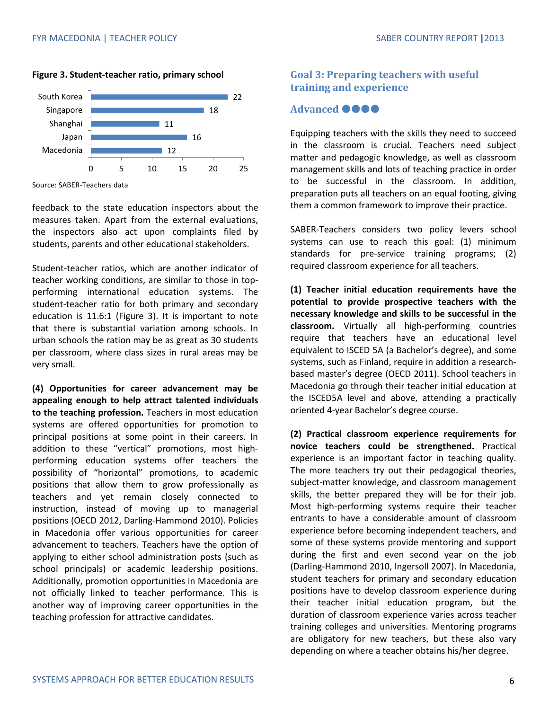



Source: SABER-Teachers data

feedback to the state education inspectors about the measures taken. Apart from the external evaluations, the inspectors also act upon complaints filed by students, parents and other educational stakeholders.

Student-teacher ratios, which are another indicator of teacher working conditions, are similar to those in topperforming international education systems. The student-teacher ratio for both primary and secondary education is 11.6:1 (Figure 3). It is important to note that there is substantial variation among schools. In urban schools the ration may be as great as 30 students per classroom, where class sizes in rural areas may be very small.

**(4) Opportunities for career advancement may be appealing enough to help attract talented individuals to the teaching profession.** Teachers in most education systems are offered opportunities for promotion to principal positions at some point in their careers. In addition to these "vertical" promotions, most highperforming education systems offer teachers the possibility of "horizontal" promotions, to academic positions that allow them to grow professionally as teachers and yet remain closely connected to instruction, instead of moving up to managerial positions (OECD 2012, Darling-Hammond 2010). Policies in Macedonia offer various opportunities for career advancement to teachers. Teachers have the option of applying to either school administration posts (such as school principals) or academic leadership positions. Additionally, promotion opportunities in Macedonia are not officially linked to teacher performance. This is another way of improving career opportunities in the teaching profession for attractive candidates.

#### **Goal 3: Preparing teachers with useful training and experience**

#### Advanced **OOOO**

Equipping teachers with the skills they need to succeed in the classroom is crucial. Teachers need subject matter and pedagogic knowledge, as well as classroom management skills and lots of teaching practice in order to be successful in the classroom. In addition, preparation puts all teachers on an equal footing, giving them a common framework to improve their practice.

SABER-Teachers considers two policy levers school systems can use to reach this goal: (1) minimum standards for pre-service training programs; (2) required classroom experience for all teachers.

**(1) Teacher initial education requirements have the potential to provide prospective teachers with the necessary knowledge and skills to be successful in the classroom.** Virtually all high-performing countries require that teachers have an educational level equivalent to ISCED 5A (a Bachelor's degree), and some systems, such as Finland, require in addition a researchbased master's degree (OECD 2011). School teachers in Macedonia go through their teacher initial education at the ISCED5A level and above, attending a practically oriented 4-year Bachelor's degree course.

**(2) Practical classroom experience requirements for novice teachers could be strengthened.** Practical experience is an important factor in teaching quality. The more teachers try out their pedagogical theories, subject-matter knowledge, and classroom management skills, the better prepared they will be for their job. Most high-performing systems require their teacher entrants to have a considerable amount of classroom experience before becoming independent teachers, and some of these systems provide mentoring and support during the first and even second year on the job (Darling-Hammond 2010, Ingersoll 2007). In Macedonia, student teachers for primary and secondary education positions have to develop classroom experience during their teacher initial education program, but the duration of classroom experience varies across teacher training colleges and universities. Mentoring programs are obligatory for new teachers, but these also vary depending on where a teacher obtains his/her degree.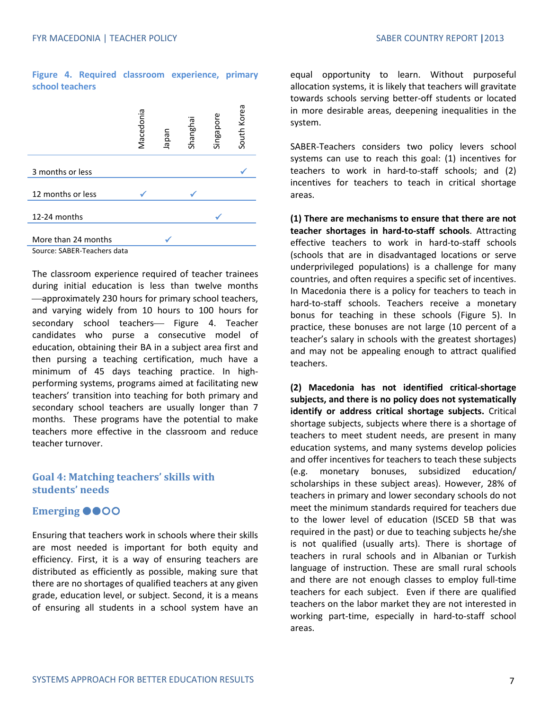**Figure 4. Required classroom experience, primary school teachers**

|                             | Macedonia | uedel | Shangha | Singapore | South Korea |
|-----------------------------|-----------|-------|---------|-----------|-------------|
| 3 months or less            |           |       |         |           |             |
|                             |           |       |         |           |             |
| 12 months or less           |           |       |         |           |             |
|                             |           |       |         |           |             |
| 12-24 months                |           |       |         |           |             |
|                             |           |       |         |           |             |
| More than 24 months         |           |       |         |           |             |
| Source: SABER-Teachers data |           |       |         |           |             |

The classroom experience required of teacher trainees during initial education is less than twelve months approximately 230 hours for primary school teachers, and varying widely from 10 hours to 100 hours for secondary school teachers- Figure 4. Teacher candidates who purse a consecutive model of education, obtaining their BA in a subject area first and then pursing a teaching certification, much have a minimum of 45 days teaching practice. In highperforming systems, programs aimed at facilitating new teachers' transition into teaching for both primary and secondary school teachers are usually longer than 7 months. These programs have the potential to make teachers more effective in the classroom and reduce teacher turnover.

#### **Goal 4: Matching teachers' skills with students' needs**

#### **Emerging**

Ensuring that teachers work in schools where their skills are most needed is important for both equity and efficiency. First, it is a way of ensuring teachers are distributed as efficiently as possible, making sure that there are no shortages of qualified teachers at any given grade, education level, or subject. Second, it is a means of ensuring all students in a school system have an

equal opportunity to learn. Without purposeful allocation systems, it is likely that teachers will gravitate towards schools serving better-off students or located in more desirable areas, deepening inequalities in the system.

SABER-Teachers considers two policy levers school systems can use to reach this goal: (1) incentives for teachers to work in hard-to-staff schools; and (2) incentives for teachers to teach in critical shortage areas.

**(1) There are mechanisms to ensure that there are not teacher shortages in hard-to-staff schools**. Attracting effective teachers to work in hard-to-staff schools (schools that are in disadvantaged locations or serve underprivileged populations) is a challenge for many countries, and often requires a specific set of incentives. In Macedonia there is a policy for teachers to teach in hard-to-staff schools. Teachers receive a monetary bonus for teaching in these schools (Figure 5). In practice, these bonuses are not large (10 percent of a teacher's salary in schools with the greatest shortages) and may not be appealing enough to attract qualified teachers.

**(2) Macedonia has not identified critical-shortage subjects, and there is no policy does not systematically identify or address critical shortage subjects.** Critical shortage subjects, subjects where there is a shortage of teachers to meet student needs, are present in many education systems, and many systems develop policies and offer incentives for teachers to teach these subjects (e.g. monetary bonuses, subsidized education/ scholarships in these subject areas). However, 28% of teachers in primary and lower secondary schools do not meet the minimum standards required for teachers due to the lower level of education (ISCED 5B that was required in the past) or due to teaching subjects he/she is not qualified (usually arts). There is shortage of teachers in rural schools and in Albanian or Turkish language of instruction. These are small rural schools and there are not enough classes to employ full-time teachers for each subject. Even if there are qualified teachers on the labor market they are not interested in working part-time, especially in hard-to-staff school areas.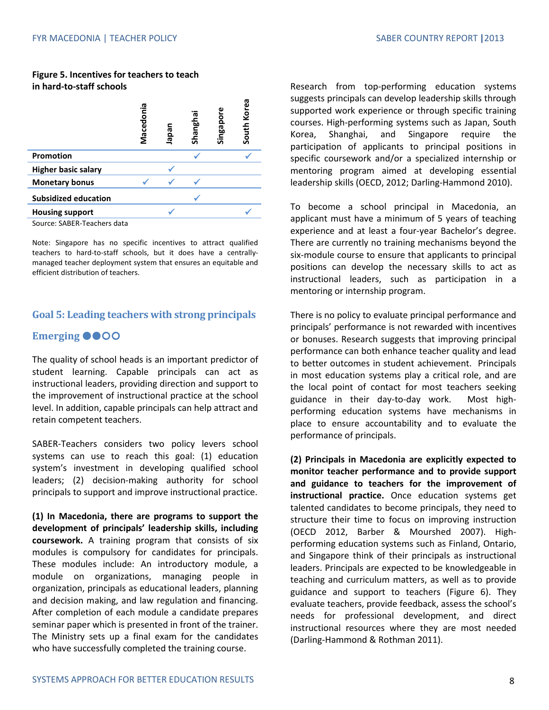#### **Figure 5. Incentives for teachers to teach in hard-to-staff schools**

|                             | Macedonia | lede | Shangt | ō<br>Singapo | ී<br>Š٦<br>South |
|-----------------------------|-----------|------|--------|--------------|------------------|
| <b>Promotion</b>            |           |      |        |              |                  |
| <b>Higher basic salary</b>  |           |      |        |              |                  |
| <b>Monetary bonus</b>       |           |      |        |              |                  |
| <b>Subsidized education</b> |           |      |        |              |                  |
| <b>Housing support</b>      |           |      |        |              |                  |
| Source: SABER-Teachers data |           |      |        |              |                  |

Note: Singapore has no specific incentives to attract qualified teachers to hard-to-staff schools, but it does have a centrallymanaged teacher deployment system that ensures an equitable and efficient distribution of teachers.

#### **Goal 5: Leading teachers with strong principals**

#### **Emerging**

The quality of school heads is an important predictor of student learning. Capable principals can act as instructional leaders, providing direction and support to the improvement of instructional practice at the school level. In addition, capable principals can help attract and retain competent teachers.

SABER-Teachers considers two policy levers school systems can use to reach this goal: (1) education system's investment in developing qualified school leaders; (2) decision-making authority for school principals to support and improve instructional practice.

**(1) In Macedonia, there are programs to support the development of principals' leadership skills, including coursework.** A training program that consists of six modules is compulsory for candidates for principals. These modules include: An introductory module, a module on organizations, managing people in organization, principals as educational leaders, planning and decision making, and law regulation and financing. After completion of each module a candidate prepares seminar paper which is presented in front of the trainer. The Ministry sets up a final exam for the candidates who have successfully completed the training course.

Research from top-performing education systems suggests principals can develop leadership skills through supported work experience or through specific training courses. High-performing systems such as Japan, South Korea, Shanghai, and Singapore require the participation of applicants to principal positions in specific coursework and/or a specialized internship or mentoring program aimed at developing essential leadership skills (OECD, 2012; Darling-Hammond 2010).

To become a school principal in Macedonia, an applicant must have a minimum of 5 years of teaching experience and at least a four-year Bachelor's degree. There are currently no training mechanisms beyond the six-module course to ensure that applicants to principal positions can develop the necessary skills to act as instructional leaders, such as participation in a mentoring or internship program.

There is no policy to evaluate principal performance and principals' performance is not rewarded with incentives or bonuses. Research suggests that improving principal performance can both enhance teacher quality and lead to better outcomes in student achievement. Principals in most education systems play a critical role, and are the local point of contact for most teachers seeking guidance in their day-to-day work. Most highperforming education systems have mechanisms in place to ensure accountability and to evaluate the performance of principals.

**(2) Principals in Macedonia are explicitly expected to monitor teacher performance and to provide support and guidance to teachers for the improvement of instructional practice.** Once education systems get talented candidates to become principals, they need to structure their time to focus on improving instruction (OECD 2012, Barber & Mourshed 2007). Highperforming education systems such as Finland, Ontario, and Singapore think of their principals as instructional leaders. Principals are expected to be knowledgeable in teaching and curriculum matters, as well as to provide guidance and support to teachers (Figure 6). They evaluate teachers, provide feedback, assess the school's needs for professional development, and direct instructional resources where they are most needed (Darling-Hammond & Rothman 2011).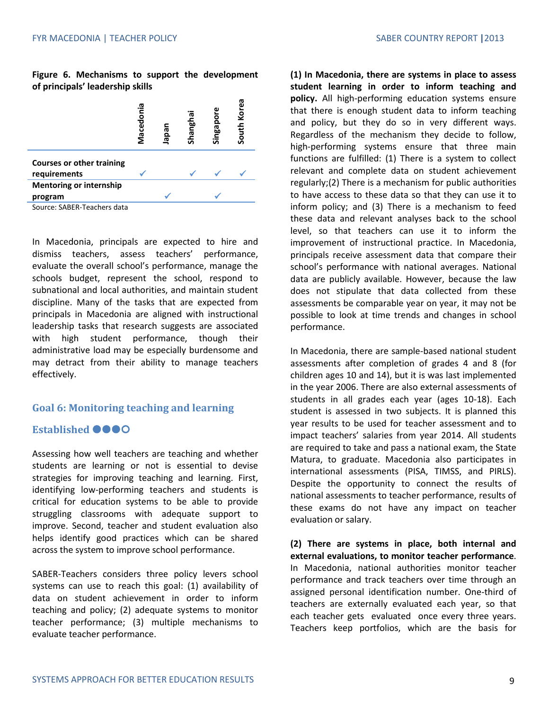#### **Figure 6. Mechanisms to support the development of principals' leadership skills**

|                                  | Macedonia | uedel | Shangha | Singapor | Korea<br>South <b>K</b> |
|----------------------------------|-----------|-------|---------|----------|-------------------------|
| <b>Courses or other training</b> |           |       |         |          |                         |
| requirements                     |           |       |         |          |                         |
| <b>Mentoring or internship</b>   |           |       |         |          |                         |
| program                          |           |       |         |          |                         |
| Source: SABER-Teachers data      |           |       |         |          |                         |

In Macedonia, principals are expected to hire and dismiss teachers, assess teachers' performance, evaluate the overall school's performance, manage the schools budget, represent the school, respond to subnational and local authorities, and maintain student discipline. Many of the tasks that are expected from principals in Macedonia are aligned with instructional leadership tasks that research suggests are associated with high student performance, though their administrative load may be especially burdensome and may detract from their ability to manage teachers effectively.

#### **Goal 6: Monitoring teaching and learning**

#### **Established**

Assessing how well teachers are teaching and whether students are learning or not is essential to devise strategies for improving teaching and learning. First, identifying low-performing teachers and students is critical for education systems to be able to provide struggling classrooms with adequate support to improve. Second, teacher and student evaluation also helps identify good practices which can be shared across the system to improve school performance.

SABER-Teachers considers three policy levers school systems can use to reach this goal: (1) availability of data on student achievement in order to inform teaching and policy; (2) adequate systems to monitor teacher performance; (3) multiple mechanisms to evaluate teacher performance.

**(1) In Macedonia, there are systems in place to assess student learning in order to inform teaching and policy.** All high-performing education systems ensure that there is enough student data to inform teaching and policy, but they do so in very different ways. Regardless of the mechanism they decide to follow, high-performing systems ensure that three main functions are fulfilled: (1) There is a system to collect relevant and complete data on student achievement regularly;(2) There is a mechanism for public authorities to have access to these data so that they can use it to inform policy; and (3) There is a mechanism to feed these data and relevant analyses back to the school level, so that teachers can use it to inform the improvement of instructional practice. In Macedonia, principals receive assessment data that compare their school's performance with national averages. National data are publicly available. However, because the law does not stipulate that data collected from these assessments be comparable year on year, it may not be possible to look at time trends and changes in school performance.

In Macedonia, there are sample-based national student assessments after completion of grades 4 and 8 (for children ages 10 and 14), but it is was last implemented in the year 2006. There are also external assessments of students in all grades each year (ages 10-18). Each student is assessed in two subjects. It is planned this year results to be used for teacher assessment and to impact teachers' salaries from year 2014. All students are required to take and pass a national exam, the State Matura, to graduate. Macedonia also participates in international assessments (PISA, TIMSS, and PIRLS). Despite the opportunity to connect the results of national assessments to teacher performance, results of these exams do not have any impact on teacher evaluation or salary.

**(2) There are systems in place, both internal and external evaluations, to monitor teacher performance**. In Macedonia, national authorities monitor teacher performance and track teachers over time through an assigned personal identification number. One-third of teachers are externally evaluated each year, so that each teacher gets evaluated once every three years. Teachers keep portfolios, which are the basis for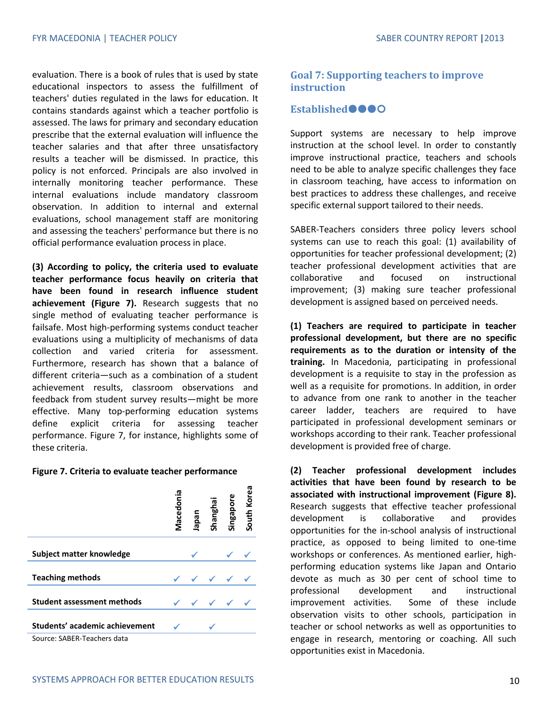evaluation. There is a book of rules that is used by state educational inspectors to assess the fulfillment of teachers' duties regulated in the laws for education. It contains standards against which a teacher portfolio is assessed. The laws for primary and secondary education prescribe that the external evaluation will influence the teacher salaries and that after three unsatisfactory results a teacher will be dismissed. In practice, this policy is not enforced. Principals are also involved in internally monitoring teacher performance. These internal evaluations include mandatory classroom observation. In addition to internal and external evaluations, school management staff are monitoring and assessing the teachers' performance but there is no official performance evaluation process in place.

**(3) According to policy, the criteria used to evaluate teacher performance focus heavily on criteria that have been found in research influence student achievement (Figure 7).** Research suggests that no single method of evaluating teacher performance is failsafe. Most high-performing systems conduct teacher evaluations using a multiplicity of mechanisms of data collection and varied criteria for assessment. Furthermore, research has shown that a balance of different criteria—such as a combination of a student achievement results, classroom observations and feedback from student survey results—might be more effective. Many top-performing education systems define explicit criteria for assessing teacher performance. Figure 7, for instance, highlights some of these criteria.

#### **Figure 7. Criteria to evaluate teacher performance**

|                                   | Macedonia | nedel | Shanghai | Singapore | South Kore |
|-----------------------------------|-----------|-------|----------|-----------|------------|
| Subject matter knowledge          |           |       |          |           |            |
| <b>Teaching methods</b>           |           |       |          |           |            |
| <b>Student assessment methods</b> |           |       |          |           |            |
| Students' academic achievement    |           |       |          |           |            |
| Source: SABER-Teachers data       |           |       |          |           |            |

#### **Goal 7: Supporting teachers to improve instruction**

#### **Established**

Support systems are necessary to help improve instruction at the school level. In order to constantly improve instructional practice, teachers and schools need to be able to analyze specific challenges they face in classroom teaching, have access to information on best practices to address these challenges, and receive specific external support tailored to their needs.

SABER-Teachers considers three policy levers school systems can use to reach this goal: (1) availability of opportunities for teacher professional development; (2) teacher professional development activities that are collaborative and focused on instructional improvement; (3) making sure teacher professional development is assigned based on perceived needs.

**(1) Teachers are required to participate in teacher professional development, but there are no specific requirements as to the duration or intensity of the training.** In Macedonia, participating in professional development is a requisite to stay in the profession as well as a requisite for promotions. In addition, in order to advance from one rank to another in the teacher career ladder, teachers are required to have participated in professional development seminars or workshops according to their rank. Teacher professional development is provided free of charge.

**(2) Teacher professional development includes activities that have been found by research to be associated with instructional improvement (Figure 8).**  Research suggests that effective teacher professional development is collaborative and provides opportunities for the in-school analysis of instructional practice, as opposed to being limited to one-time workshops or conferences. As mentioned earlier, highperforming education systems like Japan and Ontario devote as much as 30 per cent of school time to professional development and instructional improvement activities. Some of these include observation visits to other schools, participation in teacher or school networks as well as opportunities to engage in research, mentoring or coaching. All such opportunities exist in Macedonia.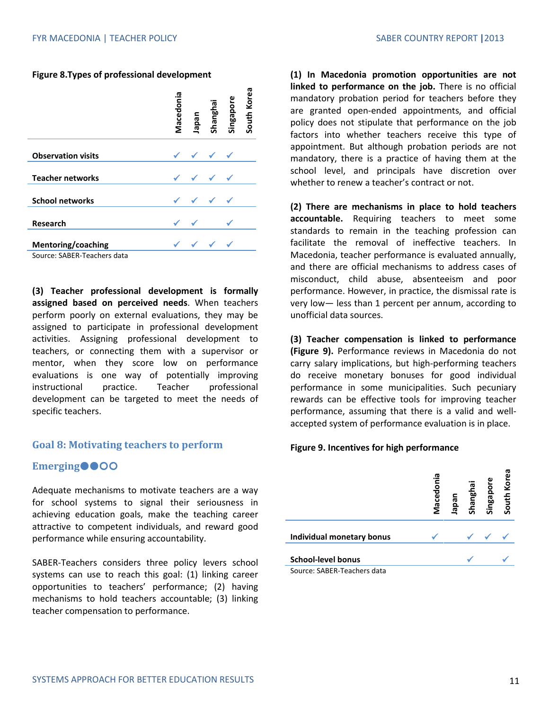#### **Figure 8.Types of professional development**

|                             | Macedonia | Iapan | Shanghai | Singapore | South Korea |
|-----------------------------|-----------|-------|----------|-----------|-------------|
| <b>Observation visits</b>   |           |       |          |           |             |
| <b>Teacher networks</b>     |           |       |          |           |             |
| <b>School networks</b>      |           |       |          |           |             |
| <b>Research</b>             |           |       |          |           |             |
| <b>Mentoring/coaching</b>   |           |       |          |           |             |
| Source: SABER-Teachers data |           |       |          |           |             |

**(3) Teacher professional development is formally assigned based on perceived needs**. When teachers perform poorly on external evaluations, they may be assigned to participate in professional development activities. Assigning professional development to teachers, or connecting them with a supervisor or mentor, when they score low on performance evaluations is one way of potentially improving instructional practice. Teacher professional development can be targeted to meet the needs of specific teachers.

#### **Goal 8: Motivating teachers to perform**

#### **Emerging**

Adequate mechanisms to motivate teachers are a way for school systems to signal their seriousness in achieving education goals, make the teaching career attractive to competent individuals, and reward good performance while ensuring accountability.

SABER-Teachers considers three policy levers school systems can use to reach this goal: (1) linking career opportunities to teachers' performance; (2) having mechanisms to hold teachers accountable; (3) linking teacher compensation to performance.

**(1) In Macedonia promotion opportunities are not linked to performance on the job.** There is no official mandatory probation period for teachers before they are granted open-ended appointments, and official policy does not stipulate that performance on the job factors into whether teachers receive this type of appointment. But although probation periods are not mandatory, there is a practice of having them at the school level, and principals have discretion over whether to renew a teacher's contract or not.

**(2) There are mechanisms in place to hold teachers accountable.** Requiring teachers to meet some standards to remain in the teaching profession can facilitate the removal of ineffective teachers. In Macedonia, teacher performance is evaluated annually, and there are official mechanisms to address cases of misconduct, child abuse, absenteeism and poor performance. However, in practice, the dismissal rate is very low— less than 1 percent per annum, according to unofficial data sources.

**(3) Teacher compensation is linked to performance (Figure 9).** Performance reviews in Macedonia do not carry salary implications, but high-performing teachers do receive monetary bonuses for good individual performance in some municipalities. Such pecuniary rewards can be effective tools for improving teacher performance, assuming that there is a valid and wellaccepted system of performance evaluation is in place.

#### **Figure 9. Incentives for high performance**

|                             | 으.<br>Macedon | iedel | G<br>Shangh | Singapore | စ္ပ<br>$\overline{\text{Kor}}$<br>South |
|-----------------------------|---------------|-------|-------------|-----------|-----------------------------------------|
| Individual monetary bonus   |               |       |             |           |                                         |
| <b>School-level bonus</b>   |               |       |             |           |                                         |
| Source: SABER-Teachers data |               |       |             |           |                                         |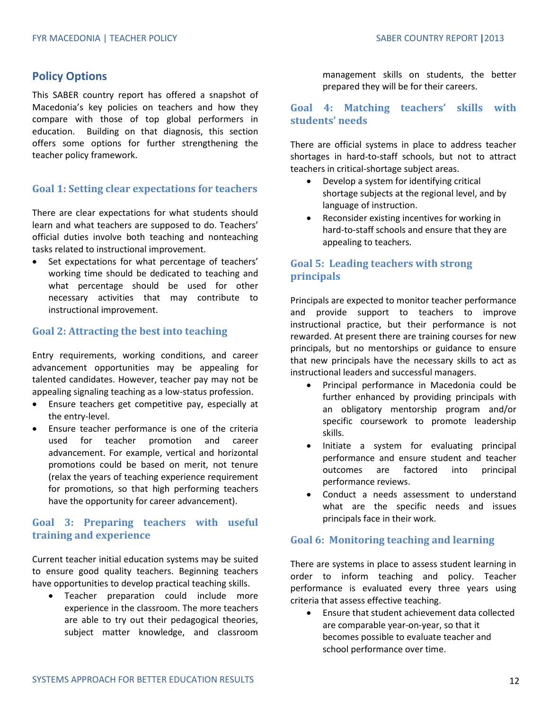#### **Policy Options**

This SABER country report has offered a snapshot of Macedonia's key policies on teachers and how they compare with those of top global performers in education. Building on that diagnosis, this section offers some options for further strengthening the teacher policy framework.

#### **Goal 1: Setting clear expectations for teachers**

There are clear expectations for what students should learn and what teachers are supposed to do. Teachers' official duties involve both teaching and nonteaching tasks related to instructional improvement.

Set expectations for what percentage of teachers' working time should be dedicated to teaching and what percentage should be used for other necessary activities that may contribute to instructional improvement.

#### **Goal 2: Attracting the best into teaching**

Entry requirements, working conditions, and career advancement opportunities may be appealing for talented candidates. However, teacher pay may not be appealing signaling teaching as a low-status profession.

- Ensure teachers get competitive pay, especially at the entry-level.
- Ensure teacher performance is one of the criteria used for teacher promotion and career advancement. For example, vertical and horizontal promotions could be based on merit, not tenure (relax the years of teaching experience requirement for promotions, so that high performing teachers have the opportunity for career advancement).

#### **Goal 3: Preparing teachers with useful training and experience**

Current teacher initial education systems may be suited to ensure good quality teachers. Beginning teachers have opportunities to develop practical teaching skills.

• Teacher preparation could include more experience in the classroom. The more teachers are able to try out their pedagogical theories, subject matter knowledge, and classroom

management skills on students, the better prepared they will be for their careers.

#### **Goal 4: Matching teachers' skills with students' needs**

There are official systems in place to address teacher shortages in hard-to-staff schools, but not to attract teachers in critical-shortage subject areas.

- Develop a system for identifying critical shortage subjects at the regional level, and by language of instruction.
- Reconsider existing incentives for working in hard-to-staff schools and ensure that they are appealing to teachers.

#### **Goal 5: Leading teachers with strong principals**

Principals are expected to monitor teacher performance and provide support to teachers to improve instructional practice, but their performance is not rewarded. At present there are training courses for new principals, but no mentorships or guidance to ensure that new principals have the necessary skills to act as instructional leaders and successful managers.

- Principal performance in Macedonia could be further enhanced by providing principals with an obligatory mentorship program and/or specific coursework to promote leadership skills.
- Initiate a system for evaluating principal performance and ensure student and teacher outcomes are factored into principal performance reviews.
- Conduct a needs assessment to understand what are the specific needs and issues principals face in their work.

#### **Goal 6: Monitoring teaching and learning**

There are systems in place to assess student learning in order to inform teaching and policy. Teacher performance is evaluated every three years using criteria that assess effective teaching.

• Ensure that student achievement data collected are comparable year-on-year, so that it becomes possible to evaluate teacher and school performance over time.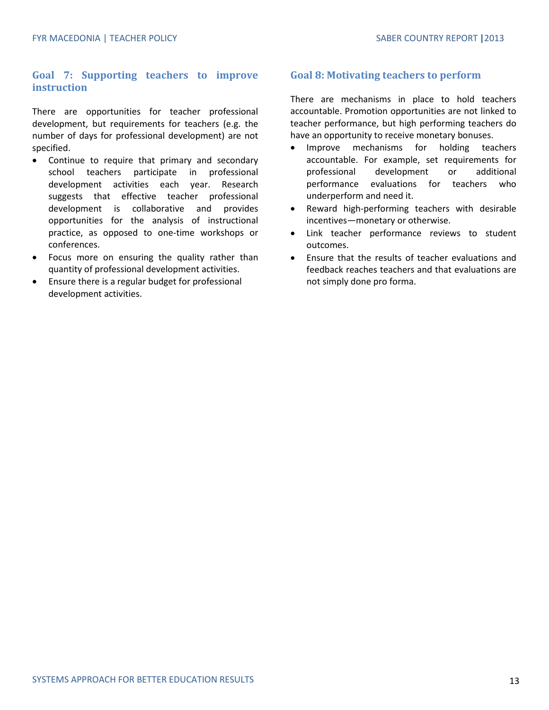#### **Goal 7: Supporting teachers to improve instruction**

There are opportunities for teacher professional development, but requirements for teachers (e.g. the number of days for professional development) are not specified.

- Continue to require that primary and secondary school teachers participate in professional development activities each year. Research suggests that effective teacher professional development is collaborative and provides opportunities for the analysis of instructional practice, as opposed to one-time workshops or conferences.
- Focus more on ensuring the quality rather than quantity of professional development activities.
- Ensure there is a regular budget for professional development activities.

#### **Goal 8: Motivating teachers to perform**

There are mechanisms in place to hold teachers accountable. Promotion opportunities are not linked to teacher performance, but high performing teachers do have an opportunity to receive monetary bonuses.

- Improve mechanisms for holding teachers accountable. For example, set requirements for professional development or additional performance evaluations for teachers who underperform and need it.
- Reward high-performing teachers with desirable incentives—monetary or otherwise.
- Link teacher performance reviews to student outcomes.
- Ensure that the results of teacher evaluations and feedback reaches teachers and that evaluations are not simply done pro forma.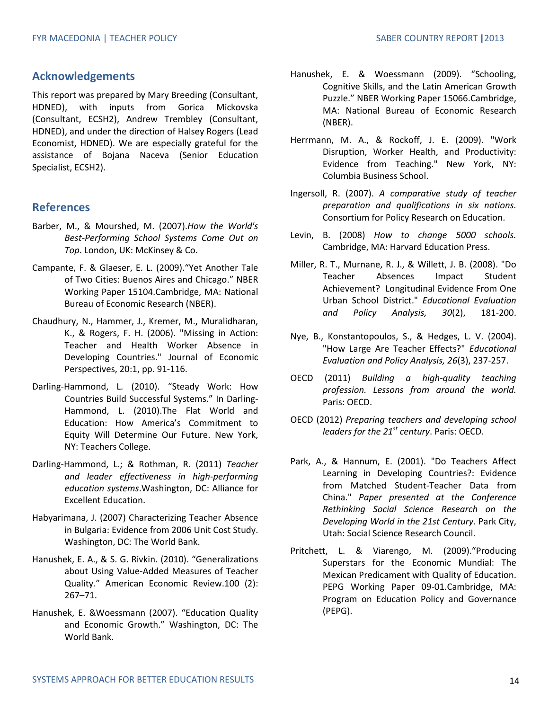#### **Acknowledgements**

This report was prepared by Mary Breeding (Consultant, HDNED), with inputs from Gorica Mickovska (Consultant, ECSH2), Andrew Trembley (Consultant, HDNED), and under the direction of Halsey Rogers (Lead Economist, HDNED). We are especially grateful for the assistance of Bojana Naceva (Senior Education Specialist, ECSH2).

#### **References**

- Barber, M., & Mourshed, M. (2007).*How the World's Best-Performing School Systems Come Out on Top*. London, UK: McKinsey & Co.
- Campante, F. & Glaeser, E. L. (2009)."Yet Another Tale of Two Cities: Buenos Aires and Chicago." NBER Working Paper 15104.Cambridge, MA: National Bureau of Economic Research (NBER).
- Chaudhury, N., Hammer, J., Kremer, M., Muralidharan, K., & Rogers, F. H. (2006). "Missing in Action: Teacher and Health Worker Absence in Developing Countries." Journal of Economic Perspectives, 20:1, pp. 91-116.
- Darling-Hammond, L. (2010). "Steady Work: How Countries Build Successful Systems." In Darling-Hammond, L. (2010).The Flat World and Education: How America's Commitment to Equity Will Determine Our Future. New York, NY: Teachers College.
- Darling-Hammond, L.; & Rothman, R. (2011) *Teacher and leader effectiveness in high-performing education systems*.Washington, DC: Alliance for Excellent Education.
- Habyarimana, J. (2007) Characterizing Teacher Absence in Bulgaria: Evidence from 2006 Unit Cost Study. Washington, DC: The World Bank.
- Hanushek, E. A., & S. G. Rivkin. (2010). "Generalizations about Using Value-Added Measures of Teacher Quality." American Economic Review.100 (2): 267–71.
- Hanushek, E. &Woessmann (2007). "Education Quality and Economic Growth." Washington, DC: The World Bank.
- Hanushek, E. & Woessmann (2009). "Schooling, Cognitive Skills, and the Latin American Growth Puzzle." NBER Working Paper 15066.Cambridge, MA: National Bureau of Economic Research (NBER).
- Herrmann, M. A., & Rockoff, J. E. (2009). "Work Disruption, Worker Health, and Productivity: Evidence from Teaching." New York, NY: Columbia Business School.
- Ingersoll, R. (2007). *A comparative study of teacher preparation and qualifications in six nations.* Consortium for Policy Research on Education.
- Levin, B. (2008) *How to change 5000 schools.* Cambridge, MA: Harvard Education Press.
- Miller, R. T., Murnane, R. J., & Willett, J. B. (2008). "Do Teacher Absences Impact Student Achievement? Longitudinal Evidence From One Urban School District." *Educational Evaluation and Policy Analysis, 30*(2), 181-200.
- Nye, B., Konstantopoulos, S., & Hedges, L. V. (2004). "How Large Are Teacher Effects?" *Educational Evaluation and Policy Analysis, 26*(3), 237-257.
- OECD (2011) *Building a high-quality teaching profession. Lessons from around the world.* Paris: OECD.
- OECD (2012) *Preparing teachers and developing school leaders for the 21st century*. Paris: OECD.
- Park, A., & Hannum, E. (2001). "Do Teachers Affect Learning in Developing Countries?: Evidence from Matched Student-Teacher Data from China." *Paper presented at the Conference Rethinking Social Science Research on the Developing World in the 21st Century*. Park City, Utah: Social Science Research Council.
- Pritchett, L. & Viarengo, M. (2009)."Producing Superstars for the Economic Mundial: The Mexican Predicament with Quality of Education. PEPG Working Paper 09-01.Cambridge, MA: Program on Education Policy and Governance (PEPG).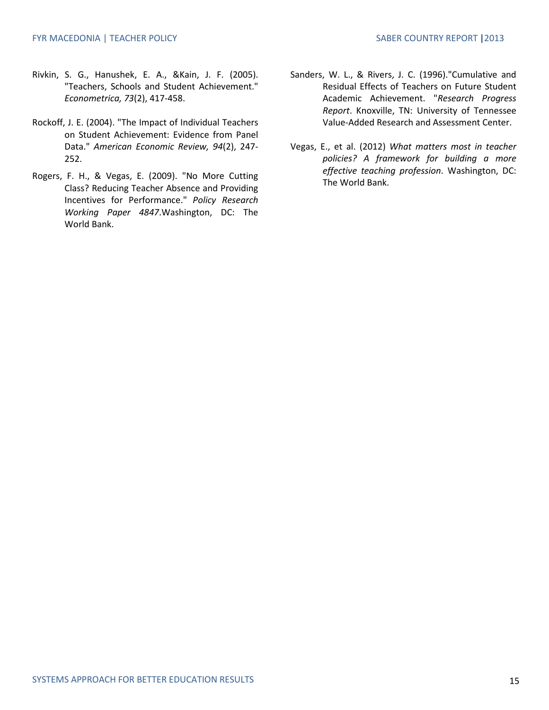- Rivkin, S. G., Hanushek, E. A., &Kain, J. F. (2005). "Teachers, Schools and Student Achievement." *Econometrica, 73*(2), 417-458.
- Rockoff, J. E. (2004). "The Impact of Individual Teachers on Student Achievement: Evidence from Panel Data." *American Economic Review, 94*(2), 247- 252.
- Rogers, F. H., & Vegas, E. (2009). "No More Cutting Class? Reducing Teacher Absence and Providing Incentives for Performance." *Policy Research Working Paper 4847*.Washington, DC: The World Bank.
- Sanders, W. L., & Rivers, J. C. (1996)."Cumulative and Residual Effects of Teachers on Future Student Academic Achievement. "*Research Progress Report*. Knoxville, TN: University of Tennessee Value-Added Research and Assessment Center.
- Vegas, E., et al. (2012) *What matters most in teacher policies? A framework for building a more effective teaching profession*. Washington, DC: The World Bank.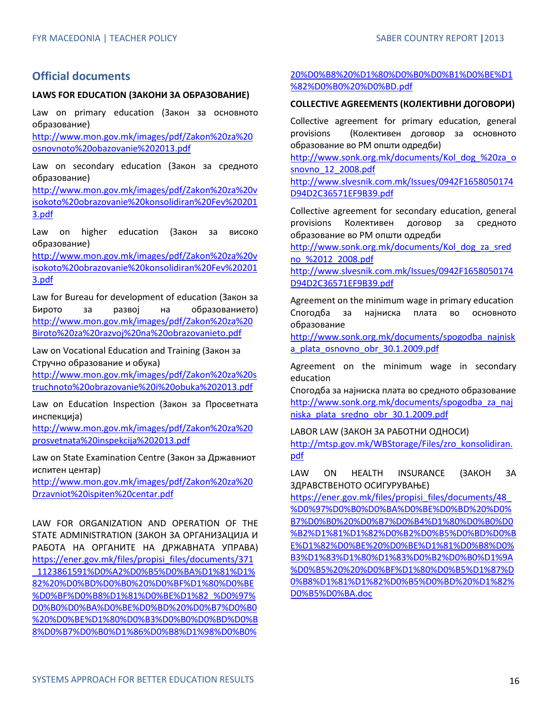#### **Official documents**

#### **LAWS FOR EDUCATION (ЗАКОНИ ЗА ОБРАЗОВАНИЕ)**

Law on primary education (Закон за основното образование)

[http://www.mon.gov.mk/images/pdf/Zakon%20za%20](http://www.mon.gov.mk/images/pdf/Zakon%20za%20osnovnoto%20obazovanie%202013.pdf) [osnovnoto%20obazovanie%202013.pdf](http://www.mon.gov.mk/images/pdf/Zakon%20za%20osnovnoto%20obazovanie%202013.pdf) 

Law on secondary education (Закон за средното образование)

[http://www.mon.gov.mk/images/pdf/Zakon%20za%20v](http://www.mon.gov.mk/images/pdf/Zakon%20za%20visokoto%20obrazovanie%20konsolidiran%20Fev%202013.pdf) [isokoto%20obrazovanie%20konsolidiran%20Fev%20201](http://www.mon.gov.mk/images/pdf/Zakon%20za%20visokoto%20obrazovanie%20konsolidiran%20Fev%202013.pdf) [3.pdf](http://www.mon.gov.mk/images/pdf/Zakon%20za%20visokoto%20obrazovanie%20konsolidiran%20Fev%202013.pdf)

Law on higher education (Закон за високо образование)

[http://www.mon.gov.mk/images/pdf/Zakon%20za%20v](http://www.mon.gov.mk/images/pdf/Zakon%20za%20visokoto%20obrazovanie%20konsolidiran%20Fev%202013.pdf) [isokoto%20obrazovanie%20konsolidiran%20Fev%20201](http://www.mon.gov.mk/images/pdf/Zakon%20za%20visokoto%20obrazovanie%20konsolidiran%20Fev%202013.pdf) [3.pdf](http://www.mon.gov.mk/images/pdf/Zakon%20za%20visokoto%20obrazovanie%20konsolidiran%20Fev%202013.pdf)

Law for Bureau for development of education (Закон за Бирото за развој на образованието) [http://www.mon.gov.mk/images/pdf/Zakon%20za%20](http://www.mon.gov.mk/images/pdf/Zakon%20za%20Biroto%20za%20razvoj%20na%20obrazovanieto.pdf) [Biroto%20za%20razvoj%20na%20obrazovanieto.pdf](http://www.mon.gov.mk/images/pdf/Zakon%20za%20Biroto%20za%20razvoj%20na%20obrazovanieto.pdf)

Law on Vocational Education and Training (Закон за Стручно образование и обука)

[http://www.mon.gov.mk/images/pdf/Zakon%20za%20s](http://www.mon.gov.mk/images/pdf/Zakon%20za%20struchnoto%20obrazovanie%20i%20obuka%202013.pdf) [truchnoto%20obrazovanie%20i%20obuka%202013.pdf](http://www.mon.gov.mk/images/pdf/Zakon%20za%20struchnoto%20obrazovanie%20i%20obuka%202013.pdf)

Law on Education Inspection (Закон за Просветната инспекција)

[http://www.mon.gov.mk/images/pdf/Zakon%20za%20](http://www.mon.gov.mk/images/pdf/Zakon%20za%20prosvetnata%20inspekcija%202013.pdf) [prosvetnata%20inspekcija%202013.pdf](http://www.mon.gov.mk/images/pdf/Zakon%20za%20prosvetnata%20inspekcija%202013.pdf)

Law on State Examination Centre (Закон за Државниот испитен центар)

[http://www.mon.gov.mk/images/pdf/Zakon%20za%20](http://www.mon.gov.mk/images/pdf/Zakon%20za%20Drzavniot%20ispiten%20centar.pdf) [Drzavniot%20ispiten%20centar.pdf](http://www.mon.gov.mk/images/pdf/Zakon%20za%20Drzavniot%20ispiten%20centar.pdf)

LAW FOR ORGANIZATION AND OPERATION OF THE STATE ADMINISTRATION (ЗАКОН ЗА ОРГАНИЗАЦИЈА И РАБОТА НА ОРГАНИТЕ НА ДРЖАВНАТА УПРАВА) [https://ener.gov.mk/files/propisi\\_files/documents/371](https://ener.gov.mk/files/propisi_files/documents/371_1123861591%D0%A2%D0%B5%D0%BA%D1%81%D1%82%20%D0%BD%D0%B0%20%D0%BF%D1%80%D0%BE%D0%BF%D0%B8%D1%81%D0%BE%D1%82_%D0%97%D0%B0%D0%BA%D0%BE%D0%BD%20%D0%B7%D0%B0%20%D0%BE%D1%80%D0%B3%D0%B0%D0%BD%D0%B8%D0%B7%D0%B0%D1%86%D0%B8%D1%98%D0%B0%20%D0%B8%20%D1%80%D0%B0%D0%B1%D0%BE%D1%82%D0%B0%20%D0%BD.pdf) [\\_1123861591%D0%A2%D0%B5%D0%BA%D1%81%D1%](https://ener.gov.mk/files/propisi_files/documents/371_1123861591%D0%A2%D0%B5%D0%BA%D1%81%D1%82%20%D0%BD%D0%B0%20%D0%BF%D1%80%D0%BE%D0%BF%D0%B8%D1%81%D0%BE%D1%82_%D0%97%D0%B0%D0%BA%D0%BE%D0%BD%20%D0%B7%D0%B0%20%D0%BE%D1%80%D0%B3%D0%B0%D0%BD%D0%B8%D0%B7%D0%B0%D1%86%D0%B8%D1%98%D0%B0%20%D0%B8%20%D1%80%D0%B0%D0%B1%D0%BE%D1%82%D0%B0%20%D0%BD.pdf) [82%20%D0%BD%D0%B0%20%D0%BF%D1%80%D0%BE](https://ener.gov.mk/files/propisi_files/documents/371_1123861591%D0%A2%D0%B5%D0%BA%D1%81%D1%82%20%D0%BD%D0%B0%20%D0%BF%D1%80%D0%BE%D0%BF%D0%B8%D1%81%D0%BE%D1%82_%D0%97%D0%B0%D0%BA%D0%BE%D0%BD%20%D0%B7%D0%B0%20%D0%BE%D1%80%D0%B3%D0%B0%D0%BD%D0%B8%D0%B7%D0%B0%D1%86%D0%B8%D1%98%D0%B0%20%D0%B8%20%D1%80%D0%B0%D0%B1%D0%BE%D1%82%D0%B0%20%D0%BD.pdf) [%D0%BF%D0%B8%D1%81%D0%BE%D1%82\\_%D0%97%](https://ener.gov.mk/files/propisi_files/documents/371_1123861591%D0%A2%D0%B5%D0%BA%D1%81%D1%82%20%D0%BD%D0%B0%20%D0%BF%D1%80%D0%BE%D0%BF%D0%B8%D1%81%D0%BE%D1%82_%D0%97%D0%B0%D0%BA%D0%BE%D0%BD%20%D0%B7%D0%B0%20%D0%BE%D1%80%D0%B3%D0%B0%D0%BD%D0%B8%D0%B7%D0%B0%D1%86%D0%B8%D1%98%D0%B0%20%D0%B8%20%D1%80%D0%B0%D0%B1%D0%BE%D1%82%D0%B0%20%D0%BD.pdf) [D0%B0%D0%BA%D0%BE%D0%BD%20%D0%B7%D0%B0](https://ener.gov.mk/files/propisi_files/documents/371_1123861591%D0%A2%D0%B5%D0%BA%D1%81%D1%82%20%D0%BD%D0%B0%20%D0%BF%D1%80%D0%BE%D0%BF%D0%B8%D1%81%D0%BE%D1%82_%D0%97%D0%B0%D0%BA%D0%BE%D0%BD%20%D0%B7%D0%B0%20%D0%BE%D1%80%D0%B3%D0%B0%D0%BD%D0%B8%D0%B7%D0%B0%D1%86%D0%B8%D1%98%D0%B0%20%D0%B8%20%D1%80%D0%B0%D0%B1%D0%BE%D1%82%D0%B0%20%D0%BD.pdf) [%20%D0%BE%D1%80%D0%B3%D0%B0%D0%BD%D0%B](https://ener.gov.mk/files/propisi_files/documents/371_1123861591%D0%A2%D0%B5%D0%BA%D1%81%D1%82%20%D0%BD%D0%B0%20%D0%BF%D1%80%D0%BE%D0%BF%D0%B8%D1%81%D0%BE%D1%82_%D0%97%D0%B0%D0%BA%D0%BE%D0%BD%20%D0%B7%D0%B0%20%D0%BE%D1%80%D0%B3%D0%B0%D0%BD%D0%B8%D0%B7%D0%B0%D1%86%D0%B8%D1%98%D0%B0%20%D0%B8%20%D1%80%D0%B0%D0%B1%D0%BE%D1%82%D0%B0%20%D0%BD.pdf) [8%D0%B7%D0%B0%D1%86%D0%B8%D1%98%D0%B0%](https://ener.gov.mk/files/propisi_files/documents/371_1123861591%D0%A2%D0%B5%D0%BA%D1%81%D1%82%20%D0%BD%D0%B0%20%D0%BF%D1%80%D0%BE%D0%BF%D0%B8%D1%81%D0%BE%D1%82_%D0%97%D0%B0%D0%BA%D0%BE%D0%BD%20%D0%B7%D0%B0%20%D0%BE%D1%80%D0%B3%D0%B0%D0%BD%D0%B8%D0%B7%D0%B0%D1%86%D0%B8%D1%98%D0%B0%20%D0%B8%20%D1%80%D0%B0%D0%B1%D0%BE%D1%82%D0%B0%20%D0%BD.pdf)

[20%D0%B8%20%D1%80%D0%B0%D0%B1%D0%BE%D1](https://ener.gov.mk/files/propisi_files/documents/371_1123861591%D0%A2%D0%B5%D0%BA%D1%81%D1%82%20%D0%BD%D0%B0%20%D0%BF%D1%80%D0%BE%D0%BF%D0%B8%D1%81%D0%BE%D1%82_%D0%97%D0%B0%D0%BA%D0%BE%D0%BD%20%D0%B7%D0%B0%20%D0%BE%D1%80%D0%B3%D0%B0%D0%BD%D0%B8%D0%B7%D0%B0%D1%86%D0%B8%D1%98%D0%B0%20%D0%B8%20%D1%80%D0%B0%D0%B1%D0%BE%D1%82%D0%B0%20%D0%BD.pdf) [%82%D0%B0%20%D0%BD.pdf](https://ener.gov.mk/files/propisi_files/documents/371_1123861591%D0%A2%D0%B5%D0%BA%D1%81%D1%82%20%D0%BD%D0%B0%20%D0%BF%D1%80%D0%BE%D0%BF%D0%B8%D1%81%D0%BE%D1%82_%D0%97%D0%B0%D0%BA%D0%BE%D0%BD%20%D0%B7%D0%B0%20%D0%BE%D1%80%D0%B3%D0%B0%D0%BD%D0%B8%D0%B7%D0%B0%D1%86%D0%B8%D1%98%D0%B0%20%D0%B8%20%D1%80%D0%B0%D0%B1%D0%BE%D1%82%D0%B0%20%D0%BD.pdf)

#### **COLLECTIVE AGREEMENTS (КОЛЕКТИВНИ ДОГОВОРИ)**

Collective agreement for primary education, general provisions (Колективен договор за основното образование во РМ општи одредби)

[http://www.sonk.org.mk/documents/Kol\\_dog\\_%20za\\_o](http://www.sonk.org.mk/documents/Kol_dog_%20za_osnovno_12_2008.pdf) [snovno\\_12\\_2008.pdf](http://www.sonk.org.mk/documents/Kol_dog_%20za_osnovno_12_2008.pdf)

[http://www.slvesnik.com.mk/Issues/0942F1658050174](http://www.slvesnik.com.mk/Issues/0942F1658050174D94D2C36571EF9B39.pdf) [D94D2C36571EF9B39.pdf](http://www.slvesnik.com.mk/Issues/0942F1658050174D94D2C36571EF9B39.pdf)

Collective agreement for secondary education, general provisions Колективен договор за средното образование во РМ општи одредби

[http://www.sonk.org.mk/documents/Kol\\_dog\\_za\\_sred](http://www.sonk.org.mk/documents/Kol_dog_za_sredno_%2012_2008.pdf) [no\\_%2012\\_2008.pdf](http://www.sonk.org.mk/documents/Kol_dog_za_sredno_%2012_2008.pdf) [http://www.slvesnik.com.mk/Issues/0942F1658050174](http://www.slvesnik.com.mk/Issues/0942F1658050174D94D2C36571EF9B39.pdf)

[D94D2C36571EF9B39.pdf](http://www.slvesnik.com.mk/Issues/0942F1658050174D94D2C36571EF9B39.pdf)

Agreement on the minimum wage in primary education Спогодба за најниска плата во основното образование

[http://www.sonk.org.mk/documents/spogodba\\_najnisk](http://www.sonk.org.mk/documents/spogodba_najniska_plata_osnovno_obr_30.1.2009.pdf) a plata osnovno obr 30.1.2009.pdf

Agreement on the minimum wage in secondary education

Спогодба за најниска плата во средното образование [http://www.sonk.org.mk/documents/spogodba\\_za\\_naj](http://www.sonk.org.mk/documents/spogodba_za_najniska_plata_sredno_obr_30.1.2009.pdf) niska plata sredno obr 30.1.2009.pdf

LABOR LAW (ЗАКОН ЗА РАБОТНИ ОДНОСИ) [http://mtsp.gov.mk/WBStorage/Files/zro\\_konsolidiran.](http://mtsp.gov.mk/WBStorage/Files/zro_konsolidiran.pdf) [pdf](http://mtsp.gov.mk/WBStorage/Files/zro_konsolidiran.pdf)

#### LAW ON HEALTH INSURANCE (ЗАКОН ЗА ЗДРАВСТВЕНОТО ОСИГУРУВАЊЕ)

[https://ener.gov.mk/files/propisi\\_files/documents/48\\_](https://ener.gov.mk/files/propisi_files/documents/48_%D0%97%D0%B0%D0%BA%D0%BE%D0%BD%20%D0%B7%D0%B0%20%D0%B7%D0%B4%D1%80%D0%B0%D0%B2%D1%81%D1%82%D0%B2%D0%B5%D0%BD%D0%BE%D1%82%D0%BE%20%D0%BE%D1%81%D0%B8%D0%B3%D1%83%D1%80%D1%83%D0%B2%D0%B0%D1%9A%D0%B5%20%20%D0%BF%D1%80%D0%B5%D1%87%D0%B8%D1%81%D1%82%D0%B5%D0%BD%20%D1%82%D0%B5%D0%BA.doc) [%D0%97%D0%B0%D0%BA%D0%BE%D0%BD%20%D0%](https://ener.gov.mk/files/propisi_files/documents/48_%D0%97%D0%B0%D0%BA%D0%BE%D0%BD%20%D0%B7%D0%B0%20%D0%B7%D0%B4%D1%80%D0%B0%D0%B2%D1%81%D1%82%D0%B2%D0%B5%D0%BD%D0%BE%D1%82%D0%BE%20%D0%BE%D1%81%D0%B8%D0%B3%D1%83%D1%80%D1%83%D0%B2%D0%B0%D1%9A%D0%B5%20%20%D0%BF%D1%80%D0%B5%D1%87%D0%B8%D1%81%D1%82%D0%B5%D0%BD%20%D1%82%D0%B5%D0%BA.doc) [B7%D0%B0%20%D0%B7%D0%B4%D1%80%D0%B0%D0](https://ener.gov.mk/files/propisi_files/documents/48_%D0%97%D0%B0%D0%BA%D0%BE%D0%BD%20%D0%B7%D0%B0%20%D0%B7%D0%B4%D1%80%D0%B0%D0%B2%D1%81%D1%82%D0%B2%D0%B5%D0%BD%D0%BE%D1%82%D0%BE%20%D0%BE%D1%81%D0%B8%D0%B3%D1%83%D1%80%D1%83%D0%B2%D0%B0%D1%9A%D0%B5%20%20%D0%BF%D1%80%D0%B5%D1%87%D0%B8%D1%81%D1%82%D0%B5%D0%BD%20%D1%82%D0%B5%D0%BA.doc) [%B2%D1%81%D1%82%D0%B2%D0%B5%D0%BD%D0%B](https://ener.gov.mk/files/propisi_files/documents/48_%D0%97%D0%B0%D0%BA%D0%BE%D0%BD%20%D0%B7%D0%B0%20%D0%B7%D0%B4%D1%80%D0%B0%D0%B2%D1%81%D1%82%D0%B2%D0%B5%D0%BD%D0%BE%D1%82%D0%BE%20%D0%BE%D1%81%D0%B8%D0%B3%D1%83%D1%80%D1%83%D0%B2%D0%B0%D1%9A%D0%B5%20%20%D0%BF%D1%80%D0%B5%D1%87%D0%B8%D1%81%D1%82%D0%B5%D0%BD%20%D1%82%D0%B5%D0%BA.doc) [E%D1%82%D0%BE%20%D0%BE%D1%81%D0%B8%D0%](https://ener.gov.mk/files/propisi_files/documents/48_%D0%97%D0%B0%D0%BA%D0%BE%D0%BD%20%D0%B7%D0%B0%20%D0%B7%D0%B4%D1%80%D0%B0%D0%B2%D1%81%D1%82%D0%B2%D0%B5%D0%BD%D0%BE%D1%82%D0%BE%20%D0%BE%D1%81%D0%B8%D0%B3%D1%83%D1%80%D1%83%D0%B2%D0%B0%D1%9A%D0%B5%20%20%D0%BF%D1%80%D0%B5%D1%87%D0%B8%D1%81%D1%82%D0%B5%D0%BD%20%D1%82%D0%B5%D0%BA.doc) [B3%D1%83%D1%80%D1%83%D0%B2%D0%B0%D1%9A](https://ener.gov.mk/files/propisi_files/documents/48_%D0%97%D0%B0%D0%BA%D0%BE%D0%BD%20%D0%B7%D0%B0%20%D0%B7%D0%B4%D1%80%D0%B0%D0%B2%D1%81%D1%82%D0%B2%D0%B5%D0%BD%D0%BE%D1%82%D0%BE%20%D0%BE%D1%81%D0%B8%D0%B3%D1%83%D1%80%D1%83%D0%B2%D0%B0%D1%9A%D0%B5%20%20%D0%BF%D1%80%D0%B5%D1%87%D0%B8%D1%81%D1%82%D0%B5%D0%BD%20%D1%82%D0%B5%D0%BA.doc) [%D0%B5%20%20%D0%BF%D1%80%D0%B5%D1%87%D](https://ener.gov.mk/files/propisi_files/documents/48_%D0%97%D0%B0%D0%BA%D0%BE%D0%BD%20%D0%B7%D0%B0%20%D0%B7%D0%B4%D1%80%D0%B0%D0%B2%D1%81%D1%82%D0%B2%D0%B5%D0%BD%D0%BE%D1%82%D0%BE%20%D0%BE%D1%81%D0%B8%D0%B3%D1%83%D1%80%D1%83%D0%B2%D0%B0%D1%9A%D0%B5%20%20%D0%BF%D1%80%D0%B5%D1%87%D0%B8%D1%81%D1%82%D0%B5%D0%BD%20%D1%82%D0%B5%D0%BA.doc) [0%B8%D1%81%D1%82%D0%B5%D0%BD%20%D1%82%](https://ener.gov.mk/files/propisi_files/documents/48_%D0%97%D0%B0%D0%BA%D0%BE%D0%BD%20%D0%B7%D0%B0%20%D0%B7%D0%B4%D1%80%D0%B0%D0%B2%D1%81%D1%82%D0%B2%D0%B5%D0%BD%D0%BE%D1%82%D0%BE%20%D0%BE%D1%81%D0%B8%D0%B3%D1%83%D1%80%D1%83%D0%B2%D0%B0%D1%9A%D0%B5%20%20%D0%BF%D1%80%D0%B5%D1%87%D0%B8%D1%81%D1%82%D0%B5%D0%BD%20%D1%82%D0%B5%D0%BA.doc) [D0%B5%D0%BA.doc](https://ener.gov.mk/files/propisi_files/documents/48_%D0%97%D0%B0%D0%BA%D0%BE%D0%BD%20%D0%B7%D0%B0%20%D0%B7%D0%B4%D1%80%D0%B0%D0%B2%D1%81%D1%82%D0%B2%D0%B5%D0%BD%D0%BE%D1%82%D0%BE%20%D0%BE%D1%81%D0%B8%D0%B3%D1%83%D1%80%D1%83%D0%B2%D0%B0%D1%9A%D0%B5%20%20%D0%BF%D1%80%D0%B5%D1%87%D0%B8%D1%81%D1%82%D0%B5%D0%BD%20%D1%82%D0%B5%D0%BA.doc)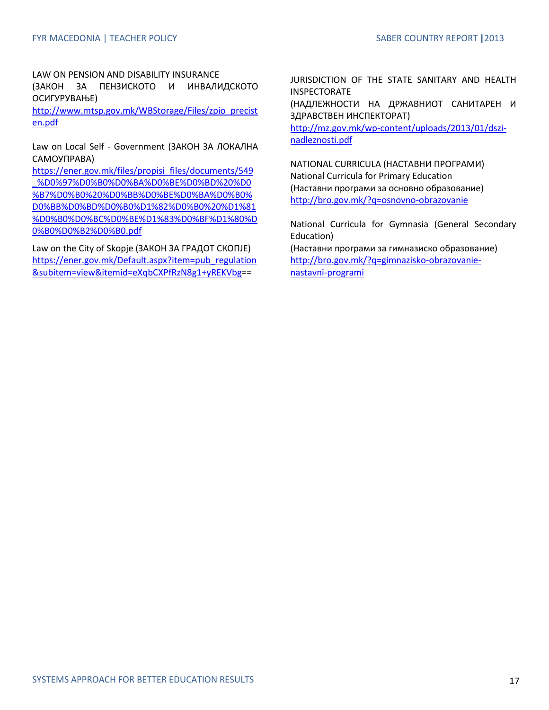LAW ON PENSION AND DISABILITY INSURANCE (ЗАКОН ЗА ПЕНЗИСКОТО И ИНВАЛИДСКОТО ОСИГУРУВАЊЕ)

[http://www.mtsp.gov.mk/WBStorage/Files/zpio\\_precist](http://www.mtsp.gov.mk/WBStorage/Files/zpio_precisten.pdf) [en.pdf](http://www.mtsp.gov.mk/WBStorage/Files/zpio_precisten.pdf)

Law on Local Self - Government (ЗАКОН ЗА ЛОКАЛНА САМОУПРАВА)

[https://ener.gov.mk/files/propisi\\_files/documents/549](https://ener.gov.mk/files/propisi_files/documents/549_%D0%97%D0%B0%D0%BA%D0%BE%D0%BD%20%D0%B7%D0%B0%20%D0%BB%D0%BE%D0%BA%D0%B0%D0%BB%D0%BD%D0%B0%D1%82%D0%B0%20%D1%81%D0%B0%D0%BC%D0%BE%D1%83%D0%BF%D1%80%D0%B0%D0%B2%D0%B0.pdf) [\\_%D0%97%D0%B0%D0%BA%D0%BE%D0%BD%20%D0](https://ener.gov.mk/files/propisi_files/documents/549_%D0%97%D0%B0%D0%BA%D0%BE%D0%BD%20%D0%B7%D0%B0%20%D0%BB%D0%BE%D0%BA%D0%B0%D0%BB%D0%BD%D0%B0%D1%82%D0%B0%20%D1%81%D0%B0%D0%BC%D0%BE%D1%83%D0%BF%D1%80%D0%B0%D0%B2%D0%B0.pdf) [%B7%D0%B0%20%D0%BB%D0%BE%D0%BA%D0%B0%](https://ener.gov.mk/files/propisi_files/documents/549_%D0%97%D0%B0%D0%BA%D0%BE%D0%BD%20%D0%B7%D0%B0%20%D0%BB%D0%BE%D0%BA%D0%B0%D0%BB%D0%BD%D0%B0%D1%82%D0%B0%20%D1%81%D0%B0%D0%BC%D0%BE%D1%83%D0%BF%D1%80%D0%B0%D0%B2%D0%B0.pdf) [D0%BB%D0%BD%D0%B0%D1%82%D0%B0%20%D1%81](https://ener.gov.mk/files/propisi_files/documents/549_%D0%97%D0%B0%D0%BA%D0%BE%D0%BD%20%D0%B7%D0%B0%20%D0%BB%D0%BE%D0%BA%D0%B0%D0%BB%D0%BD%D0%B0%D1%82%D0%B0%20%D1%81%D0%B0%D0%BC%D0%BE%D1%83%D0%BF%D1%80%D0%B0%D0%B2%D0%B0.pdf) [%D0%B0%D0%BC%D0%BE%D1%83%D0%BF%D1%80%D](https://ener.gov.mk/files/propisi_files/documents/549_%D0%97%D0%B0%D0%BA%D0%BE%D0%BD%20%D0%B7%D0%B0%20%D0%BB%D0%BE%D0%BA%D0%B0%D0%BB%D0%BD%D0%B0%D1%82%D0%B0%20%D1%81%D0%B0%D0%BC%D0%BE%D1%83%D0%BF%D1%80%D0%B0%D0%B2%D0%B0.pdf) [0%B0%D0%B2%D0%B0.pdf](https://ener.gov.mk/files/propisi_files/documents/549_%D0%97%D0%B0%D0%BA%D0%BE%D0%BD%20%D0%B7%D0%B0%20%D0%BB%D0%BE%D0%BA%D0%B0%D0%BB%D0%BD%D0%B0%D1%82%D0%B0%20%D1%81%D0%B0%D0%BC%D0%BE%D1%83%D0%BF%D1%80%D0%B0%D0%B2%D0%B0.pdf)

Law on the City of Skopje (ЗАКОН ЗА ГРАДОТ СКОПЈЕ) [https://ener.gov.mk/Default.aspx?item=pub\\_regulation](https://ener.gov.mk/Default.aspx?item=pub_regulation&subitem=view&itemid=eXqbCXPfRzN8g1+yREKVbg) [&subitem=view&itemid=eXqbCXPfRzN8g1+yREKVbg=](https://ener.gov.mk/Default.aspx?item=pub_regulation&subitem=view&itemid=eXqbCXPfRzN8g1+yREKVbg)=

JURISDICTION OF THE STATE SANITARY AND HEALTH INSPECTORATE

(НАДЛЕЖНОСТИ НА ДРЖАВНИОТ САНИТАРЕН И ЗДРАВСТВЕН ИНСПЕКТОРАТ)

[http://mz.gov.mk/wp-content/uploads/2013/01/dszi](http://mz.gov.mk/wp-content/uploads/2013/01/dszi-nadleznosti.pdf)[nadleznosti.pdf](http://mz.gov.mk/wp-content/uploads/2013/01/dszi-nadleznosti.pdf)

NATIONAL CURRICULA (НАСТАВНИ ПРОГРАМИ) National Curricula for Primary Education (Наставни програми за основно образование) <http://bro.gov.mk/?q=osnovno-obrazovanie>

National Curricula for Gymnasia (General Secondary Education)

(Наставни програми за гимназиско образование) [http://bro.gov.mk/?q=gimnazisko-obrazovanie](http://bro.gov.mk/?q=gimnazisko-obrazovanie-nastavni-programi)[nastavni-programi](http://bro.gov.mk/?q=gimnazisko-obrazovanie-nastavni-programi)